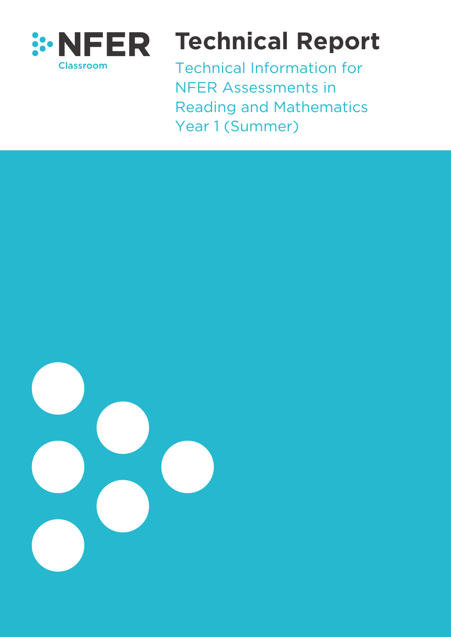

# **Technical Report**

Technical Information for NFER Assessments in Reading and Mathematics Year 1 (Summer)

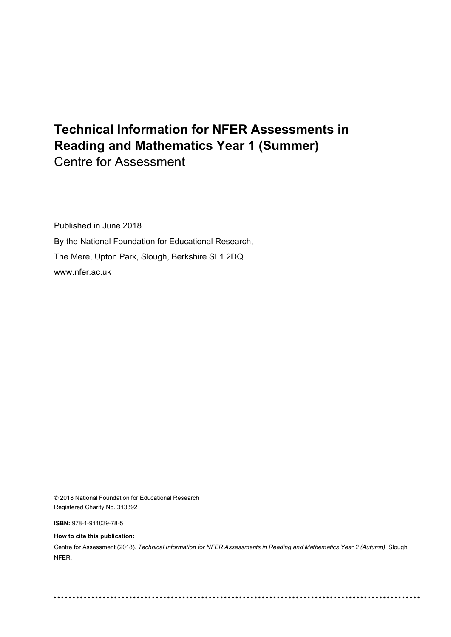## **Technical Information for NFER Assessments in Reading and Mathematics Year 1 (Summer)** Centre for Assessment

Published in June 2018 By the National Foundation for Educational Research, The Mere, Upton Park, Slough, Berkshire SL1 2DQ www.nfer.ac.uk

© 2018 National Foundation for Educational Research Registered Charity No. 313392

**ISBN:** 978-1-911039-78-5

**How to cite this publication:**

Centre for Assessment (2018). *Technical Information for NFER Assessments in Reading and Mathematics Year 2 (Autumn).* Slough: NFER.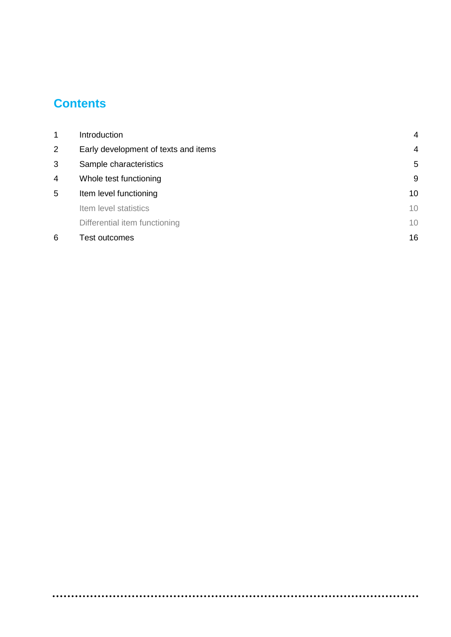## **Contents**

| 1              | Introduction                         | 4  |
|----------------|--------------------------------------|----|
| $\overline{2}$ | Early development of texts and items | 4  |
| 3              | Sample characteristics               | 5  |
| 4              | Whole test functioning               | g  |
| 5              | Item level functioning               | 10 |
|                | Item level statistics                | 10 |
|                | Differential item functioning        | 10 |
| 6              | Test outcomes                        | 16 |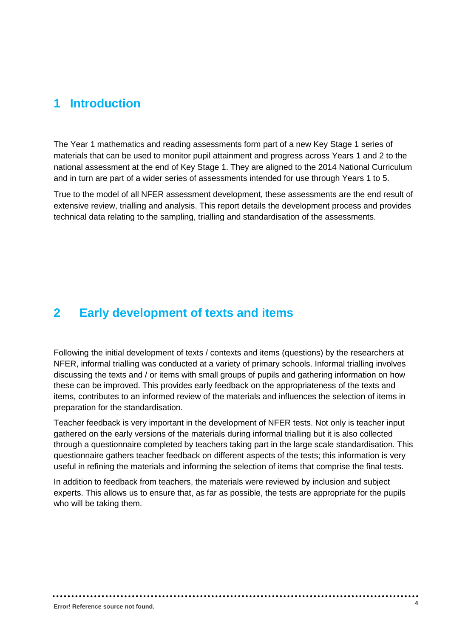#### <span id="page-3-0"></span>**1 Introduction**

The Year 1 mathematics and reading assessments form part of a new Key Stage 1 series of materials that can be used to monitor pupil attainment and progress across Years 1 and 2 to the national assessment at the end of Key Stage 1. They are aligned to the 2014 National Curriculum and in turn are part of a wider series of assessments intended for use through Years 1 to 5.

<span id="page-3-1"></span>True to the model of all NFER assessment development, these assessments are the end result of extensive review, trialling and analysis. This report details the development process and provides technical data relating to the sampling, trialling and standardisation of the assessments.

#### **2 Early development of texts and items**

Following the initial development of texts / contexts and items (questions) by the researchers at NFER, informal trialling was conducted at a variety of primary schools. Informal trialling involves discussing the texts and / or items with small groups of pupils and gathering information on how these can be improved. This provides early feedback on the appropriateness of the texts and items, contributes to an informed review of the materials and influences the selection of items in preparation for the standardisation.

Teacher feedback is very important in the development of NFER tests. Not only is teacher input gathered on the early versions of the materials during informal trialling but it is also collected through a questionnaire completed by teachers taking part in the large scale standardisation. This questionnaire gathers teacher feedback on different aspects of the tests; this information is very useful in refining the materials and informing the selection of items that comprise the final tests.

In addition to feedback from teachers, the materials were reviewed by inclusion and subject experts. This allows us to ensure that, as far as possible, the tests are appropriate for the pupils who will be taking them.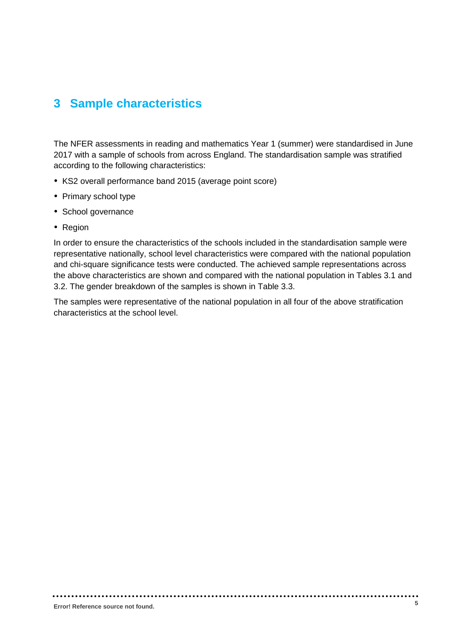#### <span id="page-4-0"></span>**3 Sample characteristics**

The NFER assessments in reading and mathematics Year 1 (summer) were standardised in June 2017 with a sample of schools from across England. The standardisation sample was stratified according to the following characteristics:

- KS2 overall performance band 2015 (average point score)
- Primary school type
- School governance
- Region

In order to ensure the characteristics of the schools included in the standardisation sample were representative nationally, school level characteristics were compared with the national population and chi-square significance tests were conducted. The achieved sample representations across the above characteristics are shown and compared with the national population in Tables 3.1 and 3.2. The gender breakdown of the samples is shown in Table 3.3.

The samples were representative of the national population in all four of the above stratification characteristics at the school level.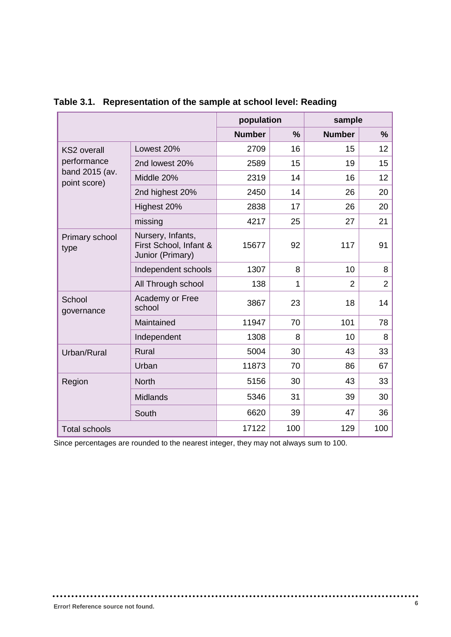|                                |                                                                 | population    |               | sample         |                |  |
|--------------------------------|-----------------------------------------------------------------|---------------|---------------|----------------|----------------|--|
|                                |                                                                 | <b>Number</b> | $\frac{9}{6}$ | <b>Number</b>  | $\%$           |  |
| <b>KS2</b> overall             | Lowest 20%                                                      | 2709          | 16            | 15             | 12             |  |
| performance                    | 2nd lowest 20%                                                  | 2589          | 15            | 19             | 15             |  |
| band 2015 (av.<br>point score) | Middle 20%                                                      | 2319          | 14            | 16             | 12             |  |
|                                | 2nd highest 20%                                                 | 2450          | 14            | 26             | 20             |  |
|                                | Highest 20%                                                     | 2838          | 17            | 26             | 20             |  |
|                                | missing                                                         | 4217          | 25            | 27             | 21             |  |
| Primary school<br>type         | Nursery, Infants,<br>First School, Infant &<br>Junior (Primary) | 15677         | 92            | 117            | 91             |  |
|                                | Independent schools                                             | 1307          | 8             | 10             | 8              |  |
|                                | All Through school                                              | 138           | 1             | $\overline{2}$ | $\overline{2}$ |  |
| School<br>governance           | Academy or Free<br>school                                       | 3867          | 23            | 18             | 14             |  |
|                                | Maintained                                                      | 11947         | 70            | 101            | 78             |  |
|                                | Independent                                                     | 1308          | 8             | 10             | 8              |  |
| Urban/Rural                    | <b>Rural</b>                                                    | 5004          | 30            | 43             | 33             |  |
|                                | Urban                                                           | 11873         | 70            | 86             | 67             |  |
| Region                         | <b>North</b>                                                    | 5156          | 30            | 43             | 33             |  |
|                                | <b>Midlands</b>                                                 | 5346          | 31            | 39             | 30             |  |
|                                | South                                                           | 6620          | 39            | 47             | 36             |  |
| <b>Total schools</b>           |                                                                 | 17122         | 100           | 129            | 100            |  |

#### **Table 3.1. Representation of the sample at school level: Reading**

Since percentages are rounded to the nearest integer, they may not always sum to 100.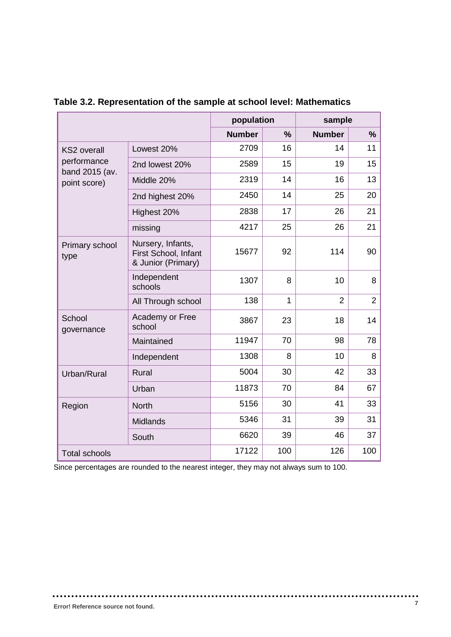|                               |                                                                 | population    |               | sample         |                |
|-------------------------------|-----------------------------------------------------------------|---------------|---------------|----------------|----------------|
|                               |                                                                 | <b>Number</b> | $\frac{9}{6}$ | <b>Number</b>  | $\frac{9}{6}$  |
| <b>KS2</b> overall            | Lowest 20%                                                      | 2709          | 16            | 14             | 11             |
| performance<br>band 2015 (av. | 2nd lowest 20%                                                  | 2589          | 15            | 19             | 15             |
| point score)                  | Middle 20%                                                      | 2319          | 14            | 16             | 13             |
|                               | 2nd highest 20%                                                 | 2450          | 14            | 25             | 20             |
|                               | Highest 20%                                                     | 2838          | 17            | 26             | 21             |
|                               | missing                                                         | 4217          | 25            | 26             | 21             |
| Primary school<br>type        | Nursery, Infants,<br>First School, Infant<br>& Junior (Primary) | 15677         | 92            | 114            | 90             |
|                               | Independent<br>schools                                          | 1307          | 8             | 10             | 8              |
|                               | All Through school                                              | 138           | $\mathbf{1}$  | $\overline{2}$ | $\overline{2}$ |
| School<br>governance          | Academy or Free<br>school                                       | 3867          | 23            | 18             | 14             |
|                               | Maintained                                                      | 11947         | 70            | 98             | 78             |
|                               | Independent                                                     | 1308          | 8             | 10             | 8              |
| Urban/Rural                   | <b>Rural</b>                                                    | 5004          | 30            | 42             | 33             |
|                               | Urban                                                           | 11873         | 70            | 84             | 67             |
| Region                        | <b>North</b>                                                    | 5156          | 30            | 41             | 33             |
|                               | <b>Midlands</b>                                                 | 5346          | 31            | 39             | 31             |
|                               | South                                                           | 6620          | 39            | 46             | 37             |
| <b>Total schools</b>          |                                                                 | 17122         | 100           | 126            | 100            |

#### **Table 3.2. Representation of the sample at school level: Mathematics**

Since percentages are rounded to the nearest integer, they may not always sum to 100.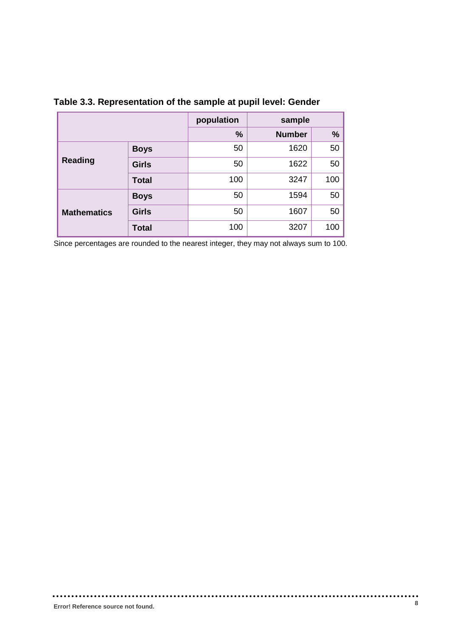|                    |              | population | sample        |     |  |
|--------------------|--------------|------------|---------------|-----|--|
|                    |              | $\%$       | <b>Number</b> | %   |  |
|                    | <b>Boys</b>  | 50         | 1620          | 50  |  |
| <b>Reading</b>     | <b>Girls</b> | 50         | 1622          | 50  |  |
|                    | <b>Total</b> | 100        | 3247          | 100 |  |
|                    | <b>Boys</b>  | 50         | 1594          | 50  |  |
| <b>Mathematics</b> | <b>Girls</b> | 50         | 1607          | 50  |  |
| <b>Total</b>       |              | 100        | 3207          | 100 |  |

#### **Table 3.3. Representation of the sample at pupil level: Gender**

Since percentages are rounded to the nearest integer, they may not always sum to 100.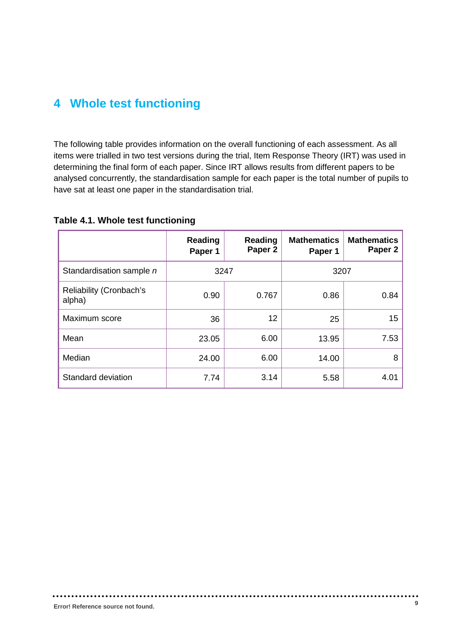#### <span id="page-8-0"></span>**4 Whole test functioning**

The following table provides information on the overall functioning of each assessment. As all items were trialled in two test versions during the trial, Item Response Theory (IRT) was used in determining the final form of each paper. Since IRT allows results from different papers to be analysed concurrently, the standardisation sample for each paper is the total number of pupils to have sat at least one paper in the standardisation trial.

|                                          | Reading<br>Paper 1 | Reading<br>Paper <sub>2</sub> | <b>Mathematics</b><br>Paper 1 | <b>Mathematics</b><br>Paper 2 |
|------------------------------------------|--------------------|-------------------------------|-------------------------------|-------------------------------|
| Standardisation sample n                 | 3247               |                               | 3207                          |                               |
| <b>Reliability (Cronbach's</b><br>alpha) | 0.90               | 0.767                         | 0.86                          | 0.84                          |
| Maximum score                            | 36                 | 12                            | 25                            | 15 <sub>15</sub>              |
| Mean                                     | 23.05              | 6.00                          | 13.95                         | 7.53                          |
| Median                                   | 24.00              | 6.00                          | 14.00                         | 8                             |
| Standard deviation                       | 7.74               | 3.14                          | 5.58                          | 4.01                          |

**Table 4.1. Whole test functioning**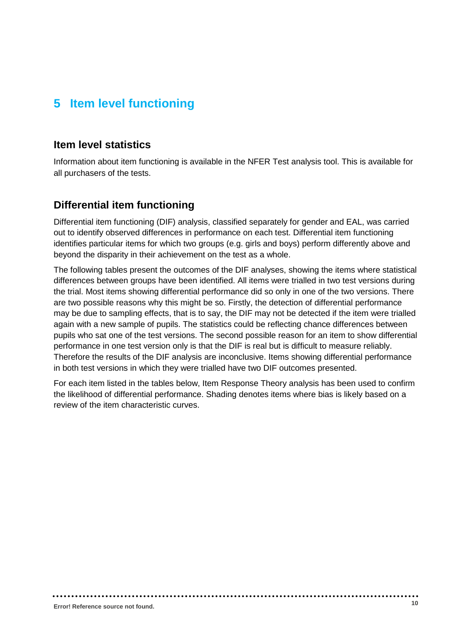### <span id="page-9-0"></span>**5 Item level functioning**

#### <span id="page-9-1"></span>**Item level statistics**

Information about item functioning is available in the NFER Test analysis tool. This is available for all purchasers of the tests.

#### <span id="page-9-2"></span>**Differential item functioning**

Differential item functioning (DIF) analysis, classified separately for gender and EAL, was carried out to identify observed differences in performance on each test. Differential item functioning identifies particular items for which two groups (e.g. girls and boys) perform differently above and beyond the disparity in their achievement on the test as a whole.

The following tables present the outcomes of the DIF analyses, showing the items where statistical differences between groups have been identified. All items were trialled in two test versions during the trial. Most items showing differential performance did so only in one of the two versions. There are two possible reasons why this might be so. Firstly, the detection of differential performance may be due to sampling effects, that is to say, the DIF may not be detected if the item were trialled again with a new sample of pupils. The statistics could be reflecting chance differences between pupils who sat one of the test versions. The second possible reason for an item to show differential performance in one test version only is that the DIF is real but is difficult to measure reliably. Therefore the results of the DIF analysis are inconclusive. Items showing differential performance in both test versions in which they were trialled have two DIF outcomes presented.

For each item listed in the tables below, Item Response Theory analysis has been used to confirm the likelihood of differential performance. Shading denotes items where bias is likely based on a review of the item characteristic curves.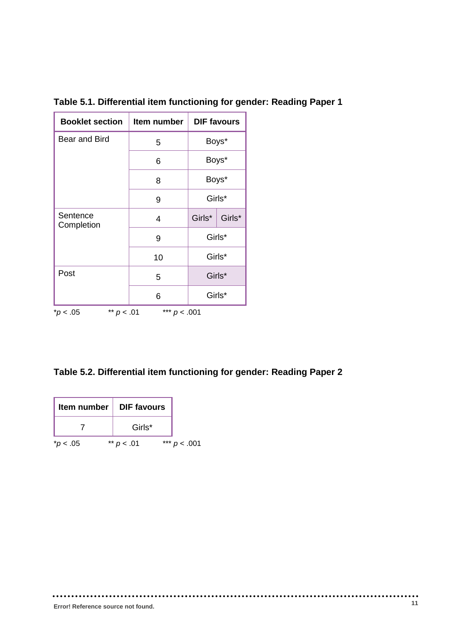| <b>Booklet section</b>                        | Item number |        | <b>DIF favours</b> |  |
|-----------------------------------------------|-------------|--------|--------------------|--|
| <b>Bear and Bird</b>                          | 5           | Boys*  |                    |  |
|                                               | 6           |        | Boys*              |  |
|                                               | 8           |        | Boys*              |  |
|                                               | 9           |        | Girls*             |  |
| Sentence<br>Completion                        | 4           | Girls* | Girls*             |  |
|                                               | 9           |        | Girls*             |  |
|                                               | 10          |        | Girls*             |  |
| Post                                          | 5           |        | Girls*             |  |
|                                               | 6           |        | Girls*             |  |
| *** $p < .001$<br>** $p < .01$<br>$^*p < .05$ |             |        |                    |  |

**Table 5.1. Differential item functioning for gender: Reading Paper 1**

| Table 5.2. Differential item functioning for gender: Reading Paper 2 |  |  |  |
|----------------------------------------------------------------------|--|--|--|
|----------------------------------------------------------------------|--|--|--|

| Item number        | <b>DIF</b> favours |                 |
|--------------------|--------------------|-----------------|
|                    | Girls*             |                 |
| $*$ <i>p</i> < .05 | ** $p < .01$       | ***<br>p < .001 |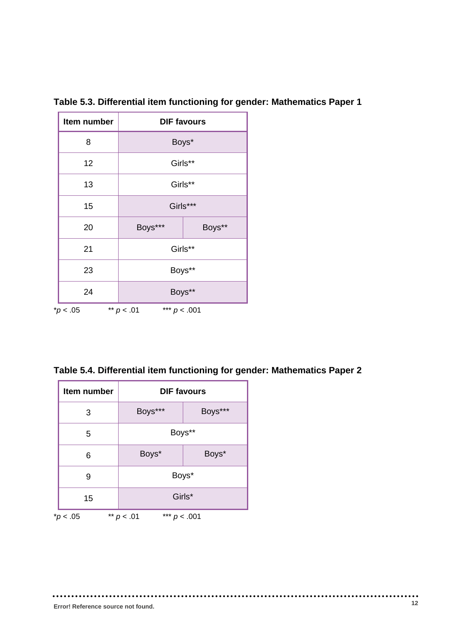| Item number                                  | <b>DIF favours</b> |        |  |
|----------------------------------------------|--------------------|--------|--|
| 8                                            | Boys*              |        |  |
| 12                                           | Girls**            |        |  |
| 13                                           | Girls**            |        |  |
| 15                                           | Girls***           |        |  |
| 20                                           | Boys***            | Boys** |  |
| 21                                           | Girls**            |        |  |
| 23                                           | Boys**             |        |  |
| 24                                           | Boys**             |        |  |
| ** $p < .01$<br>*** $p < .001$<br>$*p$ < .05 |                    |        |  |

**Table 5.3. Differential item functioning for gender: Mathematics Paper 1**

**Table 5.4. Differential item functioning for gender: Mathematics Paper 2**

| Item number | <b>DIF favours</b>             |         |  |
|-------------|--------------------------------|---------|--|
| 3           | Boys***                        | Boys*** |  |
| 5           | Boys**                         |         |  |
| 6           | Boys*                          | Boys*   |  |
| 9           | Boys*                          |         |  |
| 15          | Girls*                         |         |  |
| $*p < .05$  | *** $p < .001$<br>** $p < .01$ |         |  |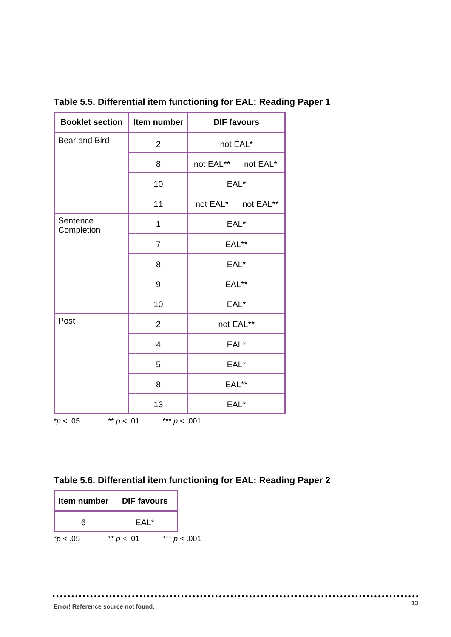| <b>Booklet section</b>                       | Item number    | <b>DIF favours</b> |           |  |
|----------------------------------------------|----------------|--------------------|-----------|--|
| Bear and Bird                                | $\overline{2}$ |                    | not EAL*  |  |
|                                              | 8              | not EAL**          | not EAL*  |  |
|                                              | 10             |                    | EAL*      |  |
|                                              | 11             | not EAL*           | not EAL** |  |
| Sentence<br>Completion                       | 1              |                    | EAL*      |  |
|                                              | 7              | EAL**              |           |  |
|                                              | 8              | EAL*               |           |  |
|                                              | 9              | EAL**              |           |  |
|                                              | 10             | EAL*               |           |  |
| Post                                         | $\overline{2}$ |                    | not EAL** |  |
|                                              | 4              | EAL*               |           |  |
|                                              | 5              |                    | EAL*      |  |
|                                              | 8              |                    | EAL**     |  |
|                                              | 13             |                    | EAL*      |  |
| ** $p < .01$<br>*** $p < .001$<br>$*p < .05$ |                |                    |           |  |

**Table 5.5. Differential item functioning for EAL: Reading Paper 1**

| Item number        | <b>DIF</b> favours |       |          |
|--------------------|--------------------|-------|----------|
|                    | FAI *              |       |          |
| $*$ <i>p</i> < .05 | ** $p < .01$       | $***$ | p < .001 |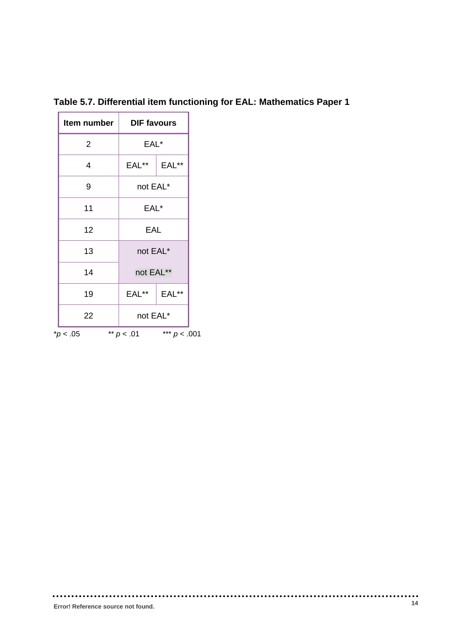| Item number    |                                | <b>DIF favours</b> |  |
|----------------|--------------------------------|--------------------|--|
| $\overline{2}$ |                                | EAL*               |  |
| 4              | EAL**                          | EAL**              |  |
| 9              |                                | not EAL*           |  |
| 11             |                                | EAL*               |  |
| 12             |                                | EAL                |  |
| 13             |                                | not EAL*           |  |
| 14             | not EAL**                      |                    |  |
| 19             | EAL**                          | EAL**              |  |
| 22             |                                | not EAL*           |  |
| $*p$ < .05     | ** $p < .01$<br>*** $p < .001$ |                    |  |

**Table 5.7. Differential item functioning for EAL: Mathematics Paper 1**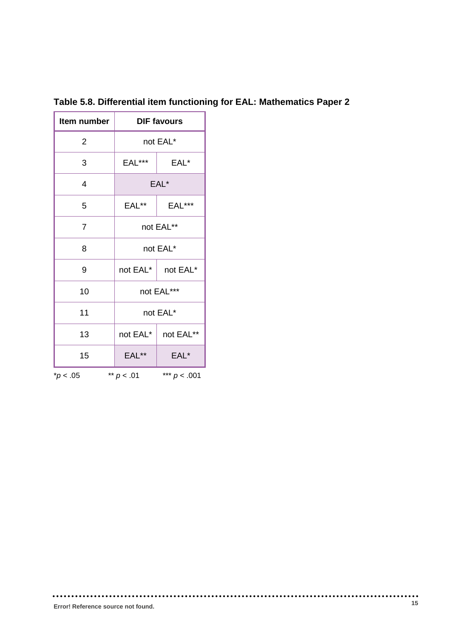| Item number    | <b>DIF favours</b> |                |  |
|----------------|--------------------|----------------|--|
| 2              | not EAL*           |                |  |
| 3              | EAL***             | EAL*           |  |
| 4              | EAL*               |                |  |
| 5              | EAL**              | <b>EAL***</b>  |  |
| $\overline{7}$ | not EAL**          |                |  |
| 8              | not EAL*           |                |  |
| 9              | not EAL*           | not EAL*       |  |
| 10             | not EAL***         |                |  |
| 11             | not EAL*           |                |  |
| 13             | not EAL*           | not EAL**      |  |
| 15             | EAL**              | EAL*           |  |
| $*p < .05$     | ** $p < .01$       | *** $p < .001$ |  |

**Table 5.8. Differential item functioning for EAL: Mathematics Paper 2**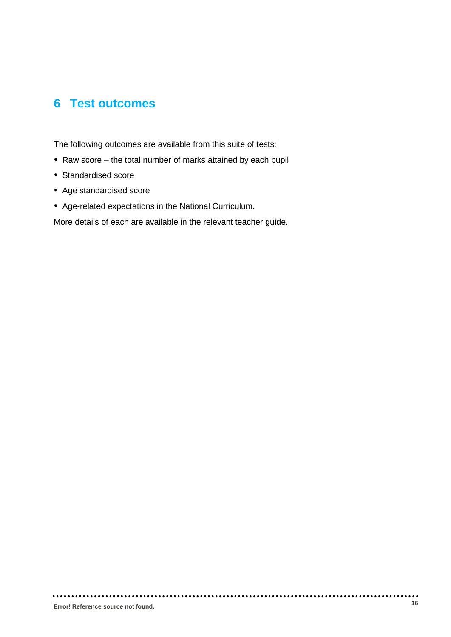#### <span id="page-15-0"></span>**6 Test outcomes**

The following outcomes are available from this suite of tests:

- Raw score the total number of marks attained by each pupil
- Standardised score
- Age standardised score
- Age-related expectations in the National Curriculum.

More details of each are available in the relevant teacher guide.